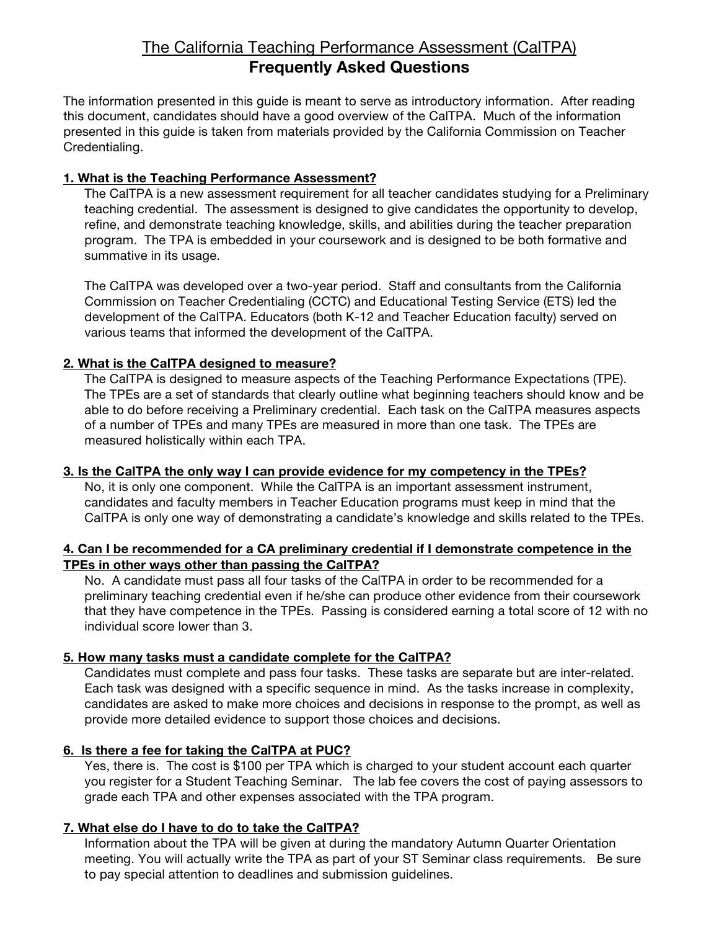# The California Teaching Performance Assessment (CalTPA) **Frequently Asked Questions**

The information presented in this guide is meant to serve as introductory information. After reading this document, candidates should have a good overview of the CalTPA. Much of the information presented in this guide is taken from materials provided by the California Commission on Teacher Credentialing.

## **1. What is the Teaching Performance Assessment?**

The CalTPA is a new assessment requirement for all teacher candidates studying for a Preliminary teaching credential. The assessment is designed to give candidates the opportunity to develop, refine, and demonstrate teaching knowledge, skills, and abilities during the teacher preparation program. The TPA is embedded in your coursework and is designed to be both formative and summative in its usage.

The CalTPA was developed over a two-year period. Staff and consultants from the California Commission on Teacher Credentialing (CCTC) and Educational Testing Service (ETS) led the development of the CalTPA. Educators (both K-12 and Teacher Education faculty) served on various teams that informed the development of the CalTPA.

## **2. What is the CalTPA designed to measure?**

The CalTPA is designed to measure aspects of the Teaching Performance Expectations (TPE). The TPEs are a set of standards that clearly outline what beginning teachers should know and be able to do before receiving a Preliminary credential. Each task on the CalTPA measures aspects of a number of TPEs and many TPEs are measured in more than one task. The TPEs are measured holistically within each TPA.

## **3. Is the CalTPA the only way I can provide evidence for my competency in the TPEs?**

No, it is only one component. While the CalTPA is an important assessment instrument, candidates and faculty members in Teacher Education programs must keep in mind that the CalTPA is only one way of demonstrating a candidate's knowledge and skills related to the TPEs.

## **4. Can I be recommended for a CA preliminary credential if I demonstrate competence in the TPEs in other ways other than passing the CalTPA?**

No. A candidate must pass all four tasks of the CalTPA in order to be recommended for a preliminary teaching credential even if he/she can produce other evidence from their coursework that they have competence in the TPEs. Passing is considered earning a total score of 12 with no individual score lower than 3.

## **5. How many tasks must a candidate complete for the CalTPA?**

Candidates must complete and pass four tasks. These tasks are separate but are inter-related. Each task was designed with a specific sequence in mind. As the tasks increase in complexity, candidates are asked to make more choices and decisions in response to the prompt, as well as provide more detailed evidence to support those choices and decisions.

## **6. Is there a fee for taking the CalTPA at PUC?**

Yes, there is. The cost is \$100 per TPA which is charged to your student account each quarter you register for a Student Teaching Seminar. The lab fee covers the cost of paying assessors to grade each TPA and other expenses associated with the TPA program.

## **7. What else do I have to do to take the CalTPA?**

Information about the TPA will be given at during the mandatory Autumn Quarter Orientation meeting. You will actually write the TPA as part of your ST Seminar class requirements. Be sure to pay special attention to deadlines and submission guidelines.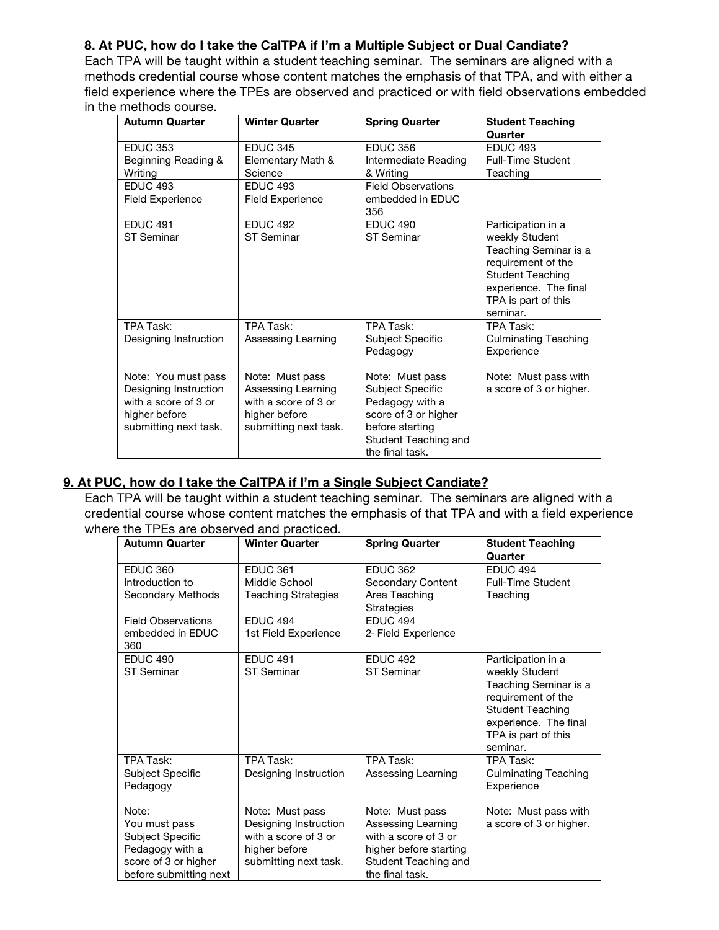## **8. At PUC, how do I take the CalTPA if I'm a Multiple Subject or Dual Candiate?**

Each TPA will be taught within a student teaching seminar. The seminars are aligned with a methods credential course whose content matches the emphasis of that TPA, and with either a field experience where the TPEs are observed and practiced or with field observations embedded in the methods course.

| <b>Autumn Quarter</b>                                                                                          | <b>Winter Quarter</b>                                                                                   | <b>Spring Quarter</b>                                                                                                                        | <b>Student Teaching</b><br>Quarter                                                                                                                                         |
|----------------------------------------------------------------------------------------------------------------|---------------------------------------------------------------------------------------------------------|----------------------------------------------------------------------------------------------------------------------------------------------|----------------------------------------------------------------------------------------------------------------------------------------------------------------------------|
| <b>EDUC 353</b><br>Beginning Reading &<br>Writing                                                              | <b>EDUC 345</b><br>Elementary Math &<br>Science                                                         | <b>EDUC 356</b><br>Intermediate Reading<br>& Writing                                                                                         | <b>EDUC 493</b><br><b>Full-Time Student</b><br>Teaching                                                                                                                    |
| <b>EDUC 493</b><br><b>Field Experience</b>                                                                     | <b>EDUC 493</b><br><b>Field Experience</b>                                                              | <b>Field Observations</b><br>embedded in EDUC<br>356                                                                                         |                                                                                                                                                                            |
| <b>EDUC 491</b><br><b>ST Seminar</b>                                                                           | <b>EDUC 492</b><br><b>ST Seminar</b>                                                                    | <b>EDUC 490</b><br>ST Seminar                                                                                                                | Participation in a<br>weekly Student<br>Teaching Seminar is a<br>requirement of the<br><b>Student Teaching</b><br>experience. The final<br>TPA is part of this<br>seminar. |
| TPA Task:<br>Designing Instruction                                                                             | TPA Task:<br>Assessing Learning                                                                         | TPA Task:<br>Subject Specific<br>Pedagogy                                                                                                    | TPA Task:<br><b>Culminating Teaching</b><br>Experience                                                                                                                     |
| Note: You must pass<br>Designing Instruction<br>with a score of 3 or<br>higher before<br>submitting next task. | Note: Must pass<br>Assessing Learning<br>with a score of 3 or<br>higher before<br>submitting next task. | Note: Must pass<br>Subject Specific<br>Pedagogy with a<br>score of 3 or higher<br>before starting<br>Student Teaching and<br>the final task. | Note: Must pass with<br>a score of 3 or higher.                                                                                                                            |

## **9. At PUC, how do I take the CalTPA if I'm a Single Subject Candiate?**

Each TPA will be taught within a student teaching seminar. The seminars are aligned with a credential course whose content matches the emphasis of that TPA and with a field experience where the TPEs are observed and practiced.

| <b>Autumn Quarter</b>                                                                                           | <b>Winter Quarter</b>                                                                                      | <b>Spring Quarter</b>                                                                                                              | <b>Student Teaching</b>                                                                                                                                                    |
|-----------------------------------------------------------------------------------------------------------------|------------------------------------------------------------------------------------------------------------|------------------------------------------------------------------------------------------------------------------------------------|----------------------------------------------------------------------------------------------------------------------------------------------------------------------------|
|                                                                                                                 |                                                                                                            |                                                                                                                                    | Quarter                                                                                                                                                                    |
| <b>EDUC 360</b><br>Introduction to<br>Secondary Methods                                                         | <b>EDUC 361</b><br>Middle School<br><b>Teaching Strategies</b>                                             | <b>EDUC 362</b><br>Secondary Content<br>Area Teaching<br>Strategies                                                                | <b>EDUC 494</b><br><b>Full-Time Student</b><br>Teaching                                                                                                                    |
| <b>Field Observations</b><br>embedded in EDUC<br>360                                                            | <b>EDUC 494</b><br>1st Field Experience                                                                    | <b>EDUC 494</b><br>2- Field Experience                                                                                             |                                                                                                                                                                            |
| <b>EDUC 490</b><br><b>ST Seminar</b>                                                                            | <b>EDUC 491</b><br><b>ST Seminar</b>                                                                       | <b>EDUC 492</b><br><b>ST Seminar</b>                                                                                               | Participation in a<br>weekly Student<br>Teaching Seminar is a<br>requirement of the<br><b>Student Teaching</b><br>experience. The final<br>TPA is part of this<br>seminar. |
| TPA Task:<br>Subject Specific<br>Pedagogy                                                                       | TPA Task:<br>Designing Instruction                                                                         | TPA Task:<br>Assessing Learning                                                                                                    | TPA Task:<br><b>Culminating Teaching</b><br>Experience                                                                                                                     |
| Note:<br>You must pass<br>Subject Specific<br>Pedagogy with a<br>score of 3 or higher<br>before submitting next | Note: Must pass<br>Designing Instruction<br>with a score of 3 or<br>higher before<br>submitting next task. | Note: Must pass<br>Assessing Learning<br>with a score of 3 or<br>higher before starting<br>Student Teaching and<br>the final task. | Note: Must pass with<br>a score of 3 or higher.                                                                                                                            |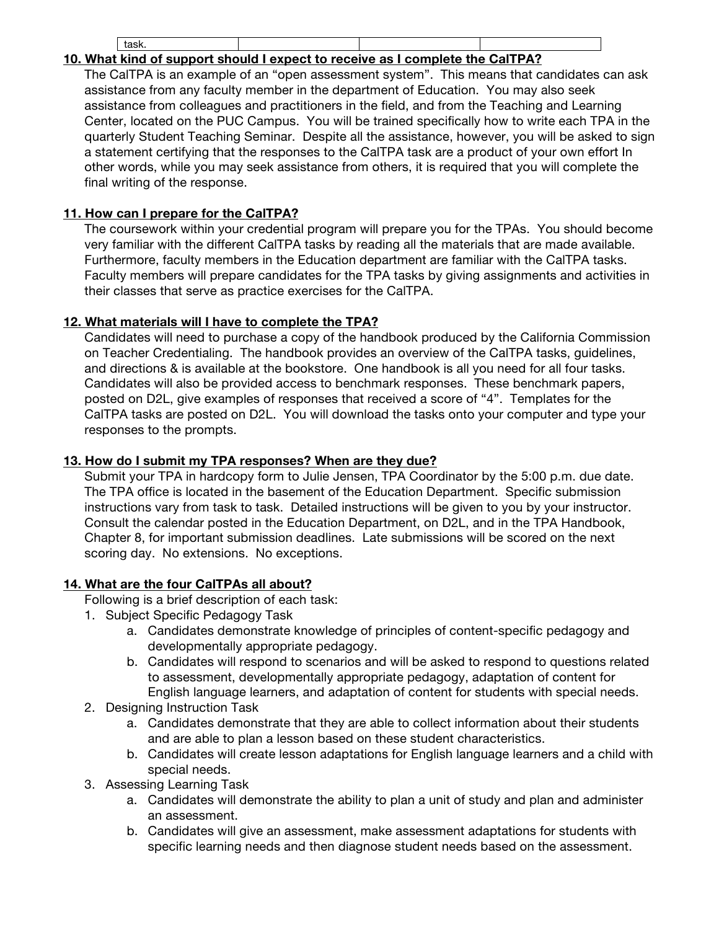#### task. **10. What kind of support should I expect to receive as I complete the CalTPA?**

The CalTPA is an example of an "open assessment system". This means that candidates can ask assistance from any faculty member in the department of Education. You may also seek assistance from colleagues and practitioners in the field, and from the Teaching and Learning Center, located on the PUC Campus. You will be trained specifically how to write each TPA in the quarterly Student Teaching Seminar. Despite all the assistance, however, you will be asked to sign a statement certifying that the responses to the CalTPA task are a product of your own effort In other words, while you may seek assistance from others, it is required that you will complete the final writing of the response.

## **11. How can I prepare for the CalTPA?**

The coursework within your credential program will prepare you for the TPAs. You should become very familiar with the different CalTPA tasks by reading all the materials that are made available. Furthermore, faculty members in the Education department are familiar with the CalTPA tasks. Faculty members will prepare candidates for the TPA tasks by giving assignments and activities in their classes that serve as practice exercises for the CalTPA.

## **12. What materials will I have to complete the TPA?**

Candidates will need to purchase a copy of the handbook produced by the California Commission on Teacher Credentialing. The handbook provides an overview of the CalTPA tasks, guidelines, and directions & is available at the bookstore. One handbook is all you need for all four tasks. Candidates will also be provided access to benchmark responses. These benchmark papers, posted on D2L, give examples of responses that received a score of "4". Templates for the CalTPA tasks are posted on D2L. You will download the tasks onto your computer and type your responses to the prompts.

## **13. How do I submit my TPA responses? When are they due?**

Submit your TPA in hardcopy form to Julie Jensen, TPA Coordinator by the 5:00 p.m. due date. The TPA office is located in the basement of the Education Department. Specific submission instructions vary from task to task. Detailed instructions will be given to you by your instructor. Consult the calendar posted in the Education Department, on D2L, and in the TPA Handbook, Chapter 8, for important submission deadlines. Late submissions will be scored on the next scoring day. No extensions. No exceptions.

## **14. What are the four CalTPAs all about?**

Following is a brief description of each task:

- 1. Subject Specific Pedagogy Task
	- a. Candidates demonstrate knowledge of principles of content-specific pedagogy and developmentally appropriate pedagogy.
	- b. Candidates will respond to scenarios and will be asked to respond to questions related to assessment, developmentally appropriate pedagogy, adaptation of content for English language learners, and adaptation of content for students with special needs.
- 2. Designing Instruction Task
	- a. Candidates demonstrate that they are able to collect information about their students and are able to plan a lesson based on these student characteristics.
	- b. Candidates will create lesson adaptations for English language learners and a child with special needs.
- 3. Assessing Learning Task
	- a. Candidates will demonstrate the ability to plan a unit of study and plan and administer an assessment.
	- b. Candidates will give an assessment, make assessment adaptations for students with specific learning needs and then diagnose student needs based on the assessment.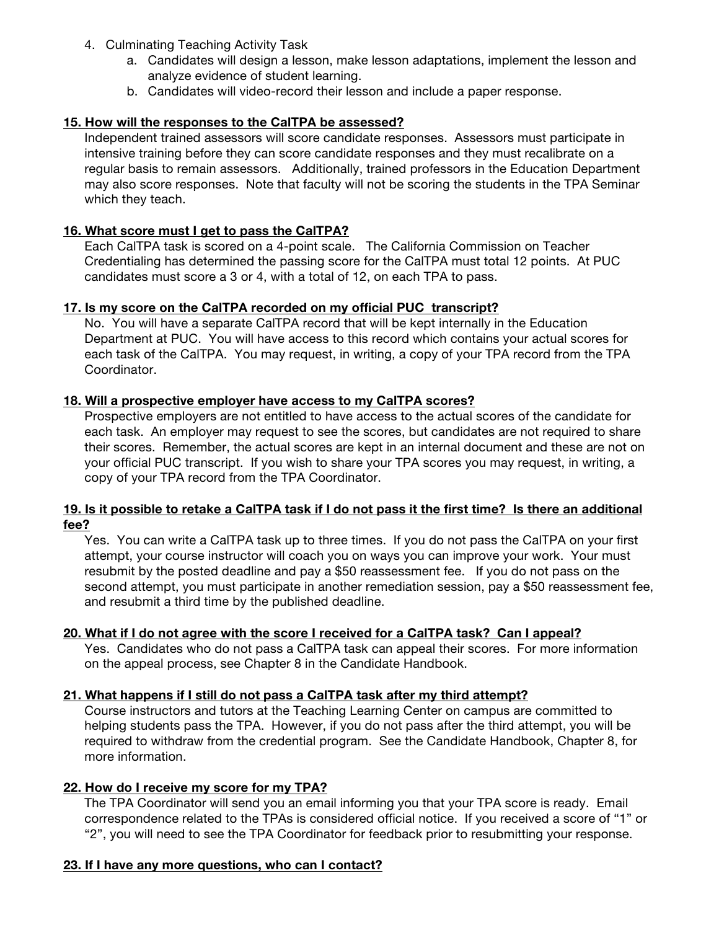- 4. Culminating Teaching Activity Task
	- a. Candidates will design a lesson, make lesson adaptations, implement the lesson and analyze evidence of student learning.
	- b. Candidates will video-record their lesson and include a paper response.

## **15. How will the responses to the CalTPA be assessed?**

Independent trained assessors will score candidate responses. Assessors must participate in intensive training before they can score candidate responses and they must recalibrate on a regular basis to remain assessors. Additionally, trained professors in the Education Department may also score responses. Note that faculty will not be scoring the students in the TPA Seminar which they teach.

## **16. What score must I get to pass the CalTPA?**

Each CalTPA task is scored on a 4-point scale. The California Commission on Teacher Credentialing has determined the passing score for the CalTPA must total 12 points. At PUC candidates must score a 3 or 4, with a total of 12, on each TPA to pass.

## **17. Is my score on the CalTPA recorded on my official PUC transcript?**

No. You will have a separate CalTPA record that will be kept internally in the Education Department at PUC. You will have access to this record which contains your actual scores for each task of the CalTPA. You may request, in writing, a copy of your TPA record from the TPA Coordinator.

## **18. Will a prospective employer have access to my CalTPA scores?**

Prospective employers are not entitled to have access to the actual scores of the candidate for each task. An employer may request to see the scores, but candidates are not required to share their scores. Remember, the actual scores are kept in an internal document and these are not on your official PUC transcript. If you wish to share your TPA scores you may request, in writing, a copy of your TPA record from the TPA Coordinator.

## **19. Is it possible to retake a CalTPA task if I do not pass it the first time? Is there an additional fee?**

Yes. You can write a CalTPA task up to three times. If you do not pass the CalTPA on your first attempt, your course instructor will coach you on ways you can improve your work. Your must resubmit by the posted deadline and pay a \$50 reassessment fee. If you do not pass on the second attempt, you must participate in another remediation session, pay a \$50 reassessment fee, and resubmit a third time by the published deadline.

## **20. What if I do not agree with the score I received for a CalTPA task? Can I appeal?**

Yes. Candidates who do not pass a CalTPA task can appeal their scores. For more information on the appeal process, see Chapter 8 in the Candidate Handbook.

## **21. What happens if I still do not pass a CalTPA task after my third attempt?**

Course instructors and tutors at the Teaching Learning Center on campus are committed to helping students pass the TPA. However, if you do not pass after the third attempt, you will be required to withdraw from the credential program. See the Candidate Handbook, Chapter 8, for more information.

## **22. How do I receive my score for my TPA?**

The TPA Coordinator will send you an email informing you that your TPA score is ready. Email correspondence related to the TPAs is considered official notice. If you received a score of "1" or "2", you will need to see the TPA Coordinator for feedback prior to resubmitting your response.

## **23. If I have any more questions, who can I contact?**